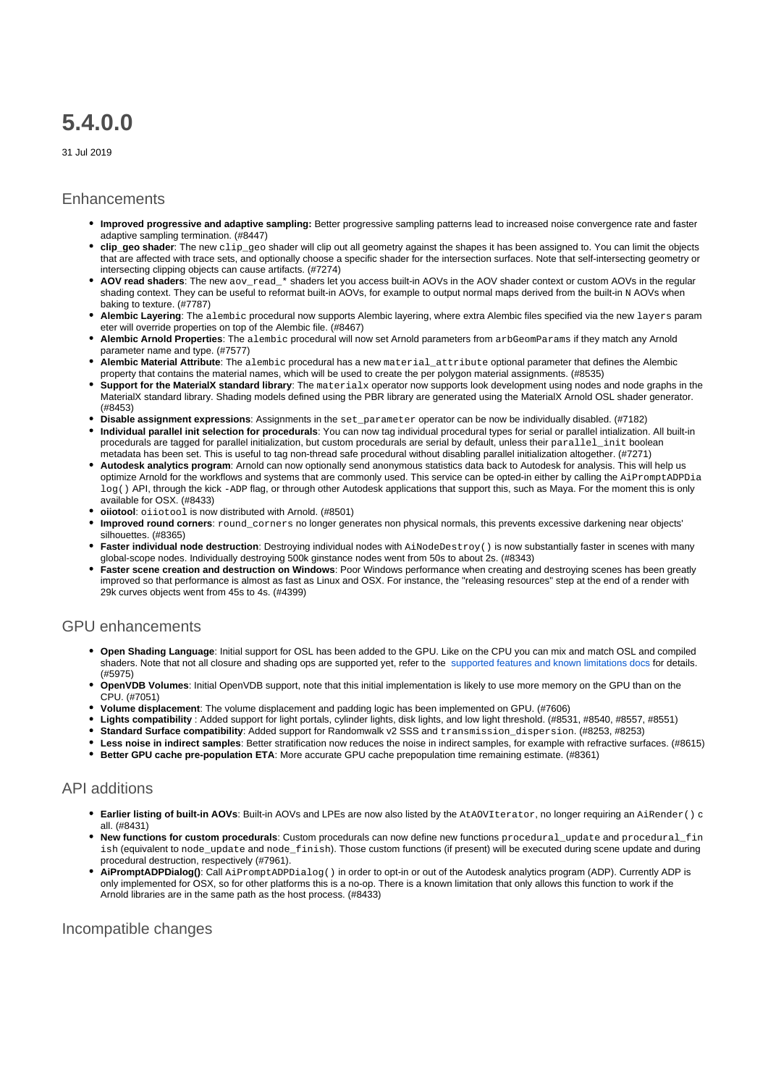# **5.4.0.0**

31 Jul 2019

#### **Enhancements**

- **Improved progressive and adaptive sampling:** Better progressive sampling patterns lead to increased noise convergence rate and faster adaptive sampling termination. (#8447)
- **clip\_geo shader**: The new clip\_geo shader will clip out all geometry against the shapes it has been assigned to. You can limit the objects that are affected with trace sets, and optionally choose a specific shader for the intersection surfaces. Note that self-intersecting geometry or intersecting clipping objects can cause artifacts. (#7274)
- **AOV read shaders**: The new aov\_read\_\* shaders let you access built-in AOVs in the AOV shader context or custom AOVs in the regular shading context. They can be useful to reformat built-in AOVs, for example to output normal maps derived from the built-in N AOVs when baking to texture. (#7787)
- **Alembic Layering**: The alembic procedural now supports Alembic layering, where extra Alembic files specified via the new layers param eter will override properties on top of the Alembic file. (#8467)
- **Alembic Arnold Properties**: The alembic procedural will now set Arnold parameters from arbGeomParams if they match any Arnold parameter name and type. (#7577)
- **Alembic Material Attribute**: The alembic procedural has a new material\_attribute optional parameter that defines the Alembic property that contains the material names, which will be used to create the per polygon material assignments. (#8535)
- **Support for the MaterialX standard library**: The materialx operator now supports look development using nodes and node graphs in the MaterialX standard library. Shading models defined using the PBR library are generated using the MaterialX Arnold OSL shader generator. (#8453)
- **Disable assignment expressions**: Assignments in the set parameter operator can be now be individually disabled. (#7182)
- **Individual parallel init selection for procedurals**: You can now tag individual procedural types for serial or parallel intialization. All built-in procedurals are tagged for parallel initialization, but custom procedurals are serial by default, unless their parallel\_init boolean metadata has been set. This is useful to tag non-thread safe procedural without disabling parallel initialization altogether. (#7271)
- **Autodesk analytics program**: Arnold can now optionally send anonymous statistics data back to Autodesk for analysis. This will help us optimize Arnold for the workflows and systems that are commonly used. This service can be opted-in either by calling the AiPromptADPDia  $\log$  ) API, through the kick -ADP flag, or through other Autodesk applications that support this, such as Maya. For the moment this is only available for OSX. (#8433)
- **oiiotool**: oiiotool is now distributed with Arnold. (#8501)
- **Improved round corners**: round\_corners no longer generates non physical normals, this prevents excessive darkening near objects' silhouettes. (#8365)
- **Faster individual node destruction**: Destroying individual nodes with AiNodeDestroy() is now substantially faster in scenes with many global-scope nodes. Individually destroying 500k ginstance nodes went from 50s to about 2s. (#8343)
- **Faster scene creation and destruction on Windows**: Poor Windows performance when creating and destroying scenes has been greatly improved so that performance is almost as fast as Linux and OSX. For instance, the "releasing resources" step at the end of a render with 29k curves objects went from 45s to 4s. (#4399)

### GPU enhancements

- **Open Shading Language**: Initial support for OSL has been added to the GPU. Like on the CPU you can mix and match OSL and compiled shaders. Note that not all closure and shading ops are supported yet, refer to the [supported features and known limitations docs](https://docs.arnoldrenderer.com/display/A5ARP/Supported+Features+and+Known+Limitations) for details. (#5975)
- **OpenVDB Volumes**: Initial OpenVDB support, note that this initial implementation is likely to use more memory on the GPU than on the CPU. (#7051)
- **Volume displacement**: The volume displacement and padding logic has been implemented on GPU. (#7606)
- **Lights compatibility** : Added support for light portals, cylinder lights, disk lights, and low light threshold. (#8531, #8540, #8557, #8551)
- **Standard Surface compatibility**: Added support for Randomwalk v2 SSS and transmission\_dispersion. (#8253, #8253)
- **Less noise in indirect samples**: Better stratification now reduces the noise in indirect samples, for example with refractive surfaces. (#8615)
- **Better GPU cache pre-population ETA**: More accurate GPU cache prepopulation time remaining estimate. (#8361)

## API additions

- **Earlier listing of built-in AOVs**: Built-in AOVs and LPEs are now also listed by the AtAOVIterator, no longer requiring an AiRender() c all. (#8431)
- **New functions for custom procedurals**: Custom procedurals can now define new functions procedural\_update and procedural\_fin ish (equivalent to node\_update and node\_finish). Those custom functions (if present) will be executed during scene update and during procedural destruction, respectively (#7961).
- **AiPromptADPDialog()**: Call AiPromptADPDialog() in order to opt-in or out of the Autodesk analytics program (ADP). Currently ADP is only implemented for OSX, so for other platforms this is a no-op. There is a known limitation that only allows this function to work if the Arnold libraries are in the same path as the host process. (#8433)

## Incompatible changes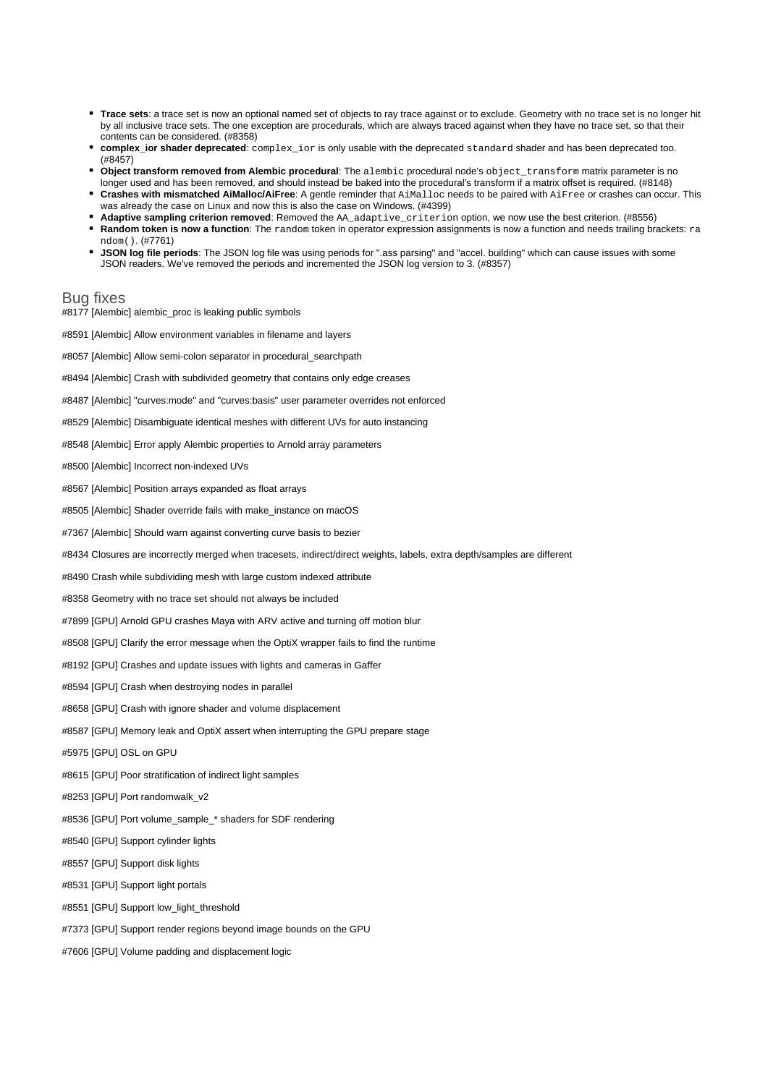- **Trace sets**: a trace set is now an optional named set of objects to ray trace against or to exclude. Geometry with no trace set is no longer hit by all inclusive trace sets. The one exception are procedurals, which are always traced against when they have no trace set, so that their contents can be considered. (#8358)
- **complex\_ior shader deprecated**: complex\_ior is only usable with the deprecated standard shader and has been deprecated too. (#8457)
- **Object transform removed from Alembic procedural**: The alembic procedural node's object\_transform matrix parameter is no longer used and has been removed, and should instead be baked into the procedural's transform if a matrix offset is required. (#8148)
- **Crashes with mismatched AiMalloc/AiFree**: A gentle reminder that AiMalloc needs to be paired with AiFree or crashes can occur. This was already the case on Linux and now this is also the case on Windows. (#4399)
- **Adaptive sampling criterion removed**: Removed the AA\_adaptive\_criterion option, we now use the best criterion. (#8556) **Random token is now a function**: The random token in operator expression assignments is now a function and needs trailing brackets: ra
- ndom(). (#7761) **JSON log file periods**: The JSON log file was using periods for ".ass parsing" and "accel. building" which can cause issues with some
- JSON readers. We've removed the periods and incremented the JSON log version to 3. (#8357)

#### Bug fixes

- #8177 [Alembic] alembic\_proc is leaking public symbols
- #8591 [Alembic] Allow environment variables in filename and layers
- #8057 [Alembic] Allow semi-colon separator in procedural\_searchpath
- #8494 [Alembic] Crash with subdivided geometry that contains only edge creases
- #8487 [Alembic] "curves:mode" and "curves:basis" user parameter overrides not enforced
- #8529 [Alembic] Disambiguate identical meshes with different UVs for auto instancing
- #8548 [Alembic] Error apply Alembic properties to Arnold array parameters
- #8500 [Alembic] Incorrect non-indexed UVs
- #8567 [Alembic] Position arrays expanded as float arrays
- #8505 [Alembic] Shader override fails with make instance on macOS
- #7367 [Alembic] Should warn against converting curve basis to bezier
- #8434 Closures are incorrectly merged when tracesets, indirect/direct weights, labels, extra depth/samples are different
- #8490 Crash while subdividing mesh with large custom indexed attribute
- #8358 Geometry with no trace set should not always be included
- #7899 [GPU] Arnold GPU crashes Maya with ARV active and turning off motion blur
- #8508 [GPU] Clarify the error message when the OptiX wrapper fails to find the runtime
- #8192 [GPU] Crashes and update issues with lights and cameras in Gaffer
- #8594 [GPU] Crash when destroying nodes in parallel
- #8658 [GPU] Crash with ignore shader and volume displacement
- #8587 [GPU] Memory leak and OptiX assert when interrupting the GPU prepare stage
- #5975 [GPU] OSL on GPU
- #8615 [GPU] Poor stratification of indirect light samples
- #8253 [GPU] Port randomwalk\_v2
- #8536 [GPU] Port volume\_sample\_\* shaders for SDF rendering
- #8540 [GPU] Support cylinder lights
- #8557 [GPU] Support disk lights
- #8531 [GPU] Support light portals
- #8551 [GPU] Support low\_light\_threshold
- #7373 [GPU] Support render regions beyond image bounds on the GPU
- #7606 [GPU] Volume padding and displacement logic